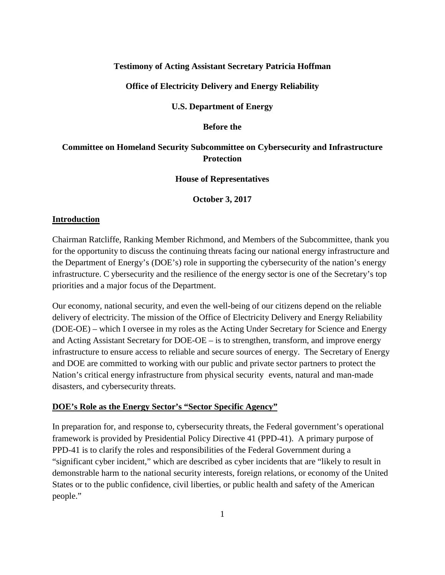## **Testimony of Acting Assistant Secretary Patricia Hoffman**

# **Office of Electricity Delivery and Energy Reliability**

### **U.S. Department of Energy**

### **Before the**

# **Committee on Homeland Security Subcommittee on Cybersecurity and Infrastructure Protection**

### **House of Representatives**

**October 3, 2017**

# **Introduction**

Chairman Ratcliffe, Ranking Member Richmond, and Members of the Subcommittee, thank you for the opportunity to discuss the continuing threats facing our national energy infrastructure and the Department of Energy's (DOE's) role in supporting the cybersecurity of the nation's energy infrastructure. C ybersecurity and the resilience of the energy sector is one of the Secretary's top priorities and a major focus of the Department.

Our economy, national security, and even the well-being of our citizens depend on the reliable delivery of electricity. The mission of the Office of Electricity Delivery and Energy Reliability (DOE-OE) – which I oversee in my roles as the Acting Under Secretary for Science and Energy and Acting Assistant Secretary for DOE-OE – is to strengthen, transform, and improve energy infrastructure to ensure access to reliable and secure sources of energy. The Secretary of Energy and DOE are committed to working with our public and private sector partners to protect the Nation's critical energy infrastructure from physical security events, natural and man-made disasters, and cybersecurity threats.

### **DOE's Role as the Energy Sector's "Sector Specific Agency"**

In preparation for, and response to, cybersecurity threats, the Federal government's operational framework is provided by Presidential Policy Directive 41 (PPD-41). A primary purpose of PPD-41 is to clarify the roles and responsibilities of the Federal Government during a "significant cyber incident," which are described as cyber incidents that are "likely to result in demonstrable harm to the national security interests, foreign relations, or economy of the United States or to the public confidence, civil liberties, or public health and safety of the American people."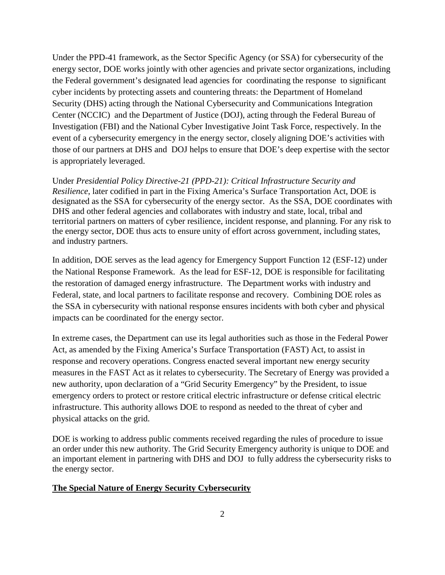Under the PPD-41 framework, as the Sector Specific Agency (or SSA) for cybersecurity of the energy sector, DOE works jointly with other agencies and private sector organizations, including the Federal government's designated lead agencies for coordinating the response to significant cyber incidents by protecting assets and countering threats: the Department of Homeland Security (DHS) acting through the National Cybersecurity and Communications Integration Center (NCCIC) and the Department of Justice (DOJ), acting through the Federal Bureau of Investigation (FBI) and the National Cyber Investigative Joint Task Force, respectively. In the event of a cybersecurity emergency in the energy sector, closely aligning DOE's activities with those of our partners at DHS and DOJ helps to ensure that DOE's deep expertise with the sector is appropriately leveraged.

Under *Presidential Policy Directive-21 (PPD-21): Critical Infrastructure Security and Resilience*, later codified in part in the Fixing America's Surface Transportation Act, DOE is designated as the SSA for cybersecurity of the energy sector. As the SSA, DOE coordinates with DHS and other federal agencies and collaborates with industry and state, local, tribal and territorial partners on matters of cyber resilience, incident response, and planning. For any risk to the energy sector, DOE thus acts to ensure unity of effort across government, including states, and industry partners.

In addition, DOE serves as the lead agency for Emergency Support Function 12 (ESF-12) under the National Response Framework. As the lead for ESF-12, DOE is responsible for facilitating the restoration of damaged energy infrastructure. The Department works with industry and Federal, state, and local partners to facilitate response and recovery. Combining DOE roles as the SSA in cybersecurity with national response ensures incidents with both cyber and physical impacts can be coordinated for the energy sector.

In extreme cases, the Department can use its legal authorities such as those in the Federal Power Act, as amended by the Fixing America's Surface Transportation (FAST) Act, to assist in response and recovery operations. Congress enacted several important new energy security measures in the FAST Act as it relates to cybersecurity. The Secretary of Energy was provided a new authority, upon declaration of a "Grid Security Emergency" by the President, to issue emergency orders to protect or restore critical electric infrastructure or defense critical electric infrastructure. This authority allows DOE to respond as needed to the threat of cyber and physical attacks on the grid.

DOE is working to address public comments received regarding the rules of procedure to issue an order under this new authority. The Grid Security Emergency authority is unique to DOE and an important element in partnering with DHS and DOJ to fully address the cybersecurity risks to the energy sector.

# **The Special Nature of Energy Security Cybersecurity**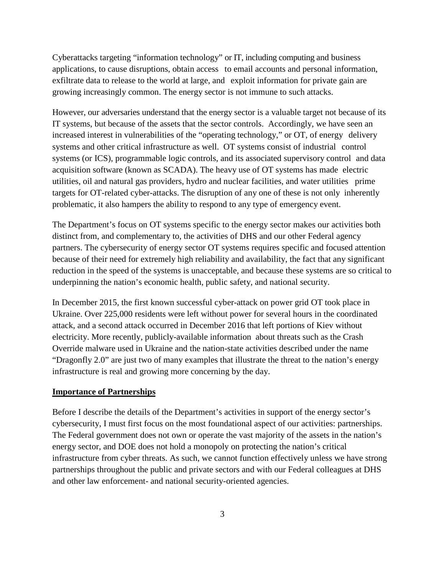Cyberattacks targeting "information technology" or IT, including computing and business applications, to cause disruptions, obtain access to email accounts and personal information, exfiltrate data to release to the world at large, and exploit information for private gain are growing increasingly common. The energy sector is not immune to such attacks.

However, our adversaries understand that the energy sector is a valuable target not because of its IT systems, but because of the assets that the sector controls. Accordingly, we have seen an increased interest in vulnerabilities of the "operating technology," or OT, of energy delivery systems and other critical infrastructure as well. OT systems consist of industrial control systems (or ICS), programmable logic controls, and its associated supervisory control and data acquisition software (known as SCADA). The heavy use of OT systems has made electric utilities, oil and natural gas providers, hydro and nuclear facilities, and water utilities prime targets for OT-related cyber-attacks. The disruption of any one of these is not only inherently problematic, it also hampers the ability to respond to any type of emergency event.

The Department's focus on OT systems specific to the energy sector makes our activities both distinct from, and complementary to, the activities of DHS and our other Federal agency partners. The cybersecurity of energy sector OT systems requires specific and focused attention because of their need for extremely high reliability and availability, the fact that any significant reduction in the speed of the systems is unacceptable, and because these systems are so critical to underpinning the nation's economic health, public safety, and national security.

In December 2015, the first known successful cyber-attack on power grid OT took place in Ukraine. Over 225,000 residents were left without power for several hours in the coordinated attack, and a second attack occurred in December 2016 that left portions of Kiev without electricity. More recently, publicly-available information about threats such as the Crash Override malware used in Ukraine and the nation-state activities described under the name "Dragonfly 2.0" are just two of many examples that illustrate the threat to the nation's energy infrastructure is real and growing more concerning by the day.

## **Importance of Partnerships**

Before I describe the details of the Department's activities in support of the energy sector's cybersecurity, I must first focus on the most foundational aspect of our activities: partnerships. The Federal government does not own or operate the vast majority of the assets in the nation's energy sector, and DOE does not hold a monopoly on protecting the nation's critical infrastructure from cyber threats. As such, we cannot function effectively unless we have strong partnerships throughout the public and private sectors and with our Federal colleagues at DHS and other law enforcement- and national security-oriented agencies.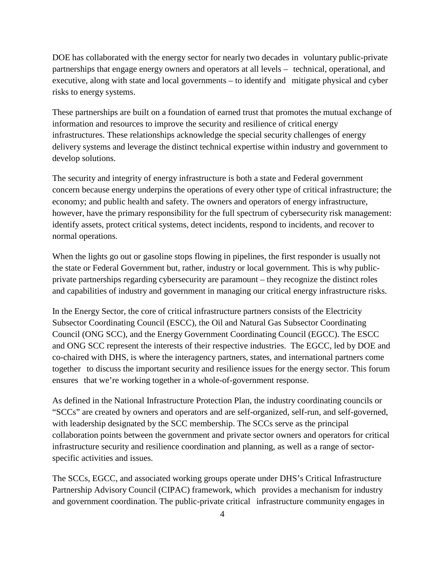DOE has collaborated with the energy sector for nearly two decades in voluntary public-private partnerships that engage energy owners and operators at all levels – technical, operational, and executive, along with state and local governments – to identify and mitigate physical and cyber risks to energy systems.

These partnerships are built on a foundation of earned trust that promotes the mutual exchange of information and resources to improve the security and resilience of critical energy infrastructures. These relationships acknowledge the special security challenges of energy delivery systems and leverage the distinct technical expertise within industry and government to develop solutions.

The security and integrity of energy infrastructure is both a state and Federal government concern because energy underpins the operations of every other type of critical infrastructure; the economy; and public health and safety. The owners and operators of energy infrastructure, however, have the primary responsibility for the full spectrum of cybersecurity risk management: identify assets, protect critical systems, detect incidents, respond to incidents, and recover to normal operations.

When the lights go out or gasoline stops flowing in pipelines, the first responder is usually not the state or Federal Government but, rather, industry or local government. This is why publicprivate partnerships regarding cybersecurity are paramount – they recognize the distinct roles and capabilities of industry and government in managing our critical energy infrastructure risks.

In the Energy Sector, the core of critical infrastructure partners consists of the Electricity Subsector Coordinating Council (ESCC), the Oil and Natural Gas Subsector Coordinating Council (ONG SCC), and the Energy Government Coordinating Council (EGCC). The ESCC and ONG SCC represent the interests of their respective industries. The EGCC, led by DOE and co-chaired with DHS, is where the interagency partners, states, and international partners come together to discuss the important security and resilience issues for the energy sector. This forum ensures that we're working together in a whole-of-government response.

As defined in the National Infrastructure Protection Plan, the industry coordinating councils or "SCCs" are created by owners and operators and are self-organized, self-run, and self-governed, with leadership designated by the SCC membership. The SCCs serve as the principal collaboration points between the government and private sector owners and operators for critical infrastructure security and resilience coordination and planning, as well as a range of sectorspecific activities and issues.

The SCCs, EGCC, and associated working groups operate under DHS's Critical Infrastructure Partnership Advisory Council (CIPAC) framework, which provides a mechanism for industry and government coordination. The public-private critical infrastructure community engages in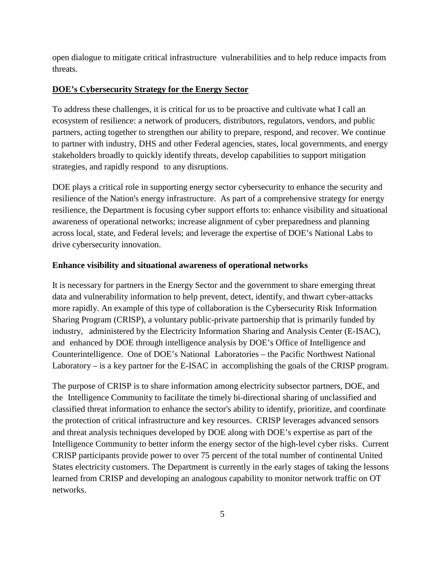open dialogue to mitigate critical infrastructure vulnerabilities and to help reduce impacts from threats.

# **DOE's Cybersecurity Strategy for the Energy Sector**

To address these challenges, it is critical for us to be proactive and cultivate what I call an ecosystem of resilience: a network of producers, distributors, regulators, vendors, and public partners, acting together to strengthen our ability to prepare, respond, and recover. We continue to partner with industry, DHS and other Federal agencies, states, local governments, and energy stakeholders broadly to quickly identify threats, develop capabilities to support mitigation strategies, and rapidly respond to any disruptions.

DOE plays a critical role in supporting energy sector cybersecurity to enhance the security and resilience of the Nation's energy infrastructure. As part of a comprehensive strategy for energy resilience, the Department is focusing cyber support efforts to: enhance visibility and situational awareness of operational networks; increase alignment of cyber preparedness and planning across local, state, and Federal levels; and leverage the expertise of DOE's National Labs to drive cybersecurity innovation.

# **Enhance visibility and situational awareness of operational networks**

It is necessary for partners in the Energy Sector and the government to share emerging threat data and vulnerability information to help prevent, detect, identify, and thwart cyber-attacks more rapidly. An example of this type of collaboration is the Cybersecurity Risk Information Sharing Program (CRISP), a voluntary public-private partnership that is primarily funded by industry, administered by the Electricity Information Sharing and Analysis Center (E-ISAC), and enhanced by DOE through intelligence analysis by DOE's Office of Intelligence and Counterintelligence. One of DOE's National Laboratories – the Pacific Northwest National Laboratory – is a key partner for the E-ISAC in accomplishing the goals of the CRISP program.

The purpose of CRISP is to share information among electricity subsector partners, DOE, and the Intelligence Community to facilitate the timely bi-directional sharing of unclassified and classified threat information to enhance the sector's ability to identify, prioritize, and coordinate the protection of critical infrastructure and key resources. CRISP leverages advanced sensors and threat analysis techniques developed by DOE along with DOE's expertise as part of the Intelligence Community to better inform the energy sector of the high-level cyber risks. Current CRISP participants provide power to over 75 percent of the total number of continental United States electricity customers. The Department is currently in the early stages of taking the lessons learned from CRISP and developing an analogous capability to monitor network traffic on OT networks.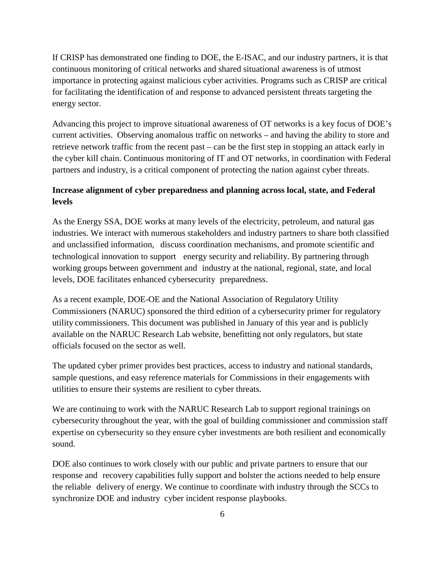If CRISP has demonstrated one finding to DOE, the E-ISAC, and our industry partners, it is that continuous monitoring of critical networks and shared situational awareness is of utmost importance in protecting against malicious cyber activities. Programs such as CRISP are critical for facilitating the identification of and response to advanced persistent threats targeting the energy sector.

Advancing this project to improve situational awareness of OT networks is a key focus of DOE's current activities. Observing anomalous traffic on networks – and having the ability to store and retrieve network traffic from the recent past – can be the first step in stopping an attack early in the cyber kill chain. Continuous monitoring of IT and OT networks, in coordination with Federal partners and industry, is a critical component of protecting the nation against cyber threats.

# **Increase alignment of cyber preparedness and planning across local, state, and Federal levels**

As the Energy SSA, DOE works at many levels of the electricity, petroleum, and natural gas industries. We interact with numerous stakeholders and industry partners to share both classified and unclassified information, discuss coordination mechanisms, and promote scientific and technological innovation to support energy security and reliability. By partnering through working groups between government and industry at the national, regional, state, and local levels, DOE facilitates enhanced cybersecurity preparedness.

As a recent example, DOE-OE and the National Association of Regulatory Utility Commissioners (NARUC) sponsored the third edition of a cybersecurity primer for regulatory utility commissioners. This document was published in January of this year and is publicly available on the NARUC Research Lab website, benefitting not only regulators, but state officials focused on the sector as well.

The updated cyber primer provides best practices, access to industry and national standards, sample questions, and easy reference materials for Commissions in their engagements with utilities to ensure their systems are resilient to cyber threats.

We are continuing to work with the NARUC Research Lab to support regional trainings on cybersecurity throughout the year, with the goal of building commissioner and commission staff expertise on cybersecurity so they ensure cyber investments are both resilient and economically sound.

DOE also continues to work closely with our public and private partners to ensure that our response and recovery capabilities fully support and bolster the actions needed to help ensure the reliable delivery of energy. We continue to coordinate with industry through the SCCs to synchronize DOE and industry cyber incident response playbooks.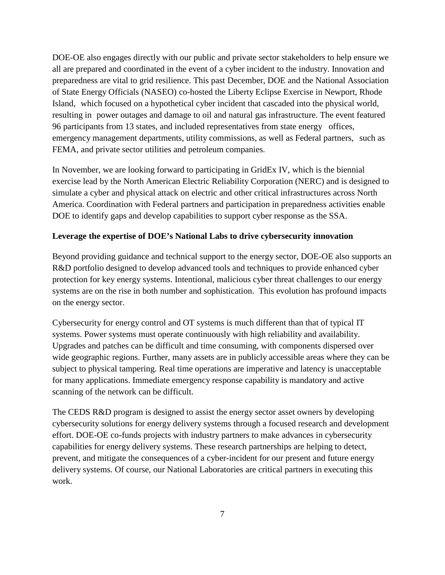DOE-OE also engages directly with our public and private sector stakeholders to help ensure we all are prepared and coordinated in the event of a cyber incident to the industry. Innovation and preparedness are vital to grid resilience. This past December, DOE and the National Association of State Energy Officials (NASEO) co-hosted the Liberty Eclipse Exercise in Newport, Rhode Island, which focused on a hypothetical cyber incident that cascaded into the physical world, resulting in power outages and damage to oil and natural gas infrastructure. The event featured 96 participants from 13 states, and included representatives from state energy offices, emergency management departments, utility commissions, as well as Federal partners, such as FEMA, and private sector utilities and petroleum companies.

In November, we are looking forward to participating in GridEx IV, which is the biennial exercise lead by the North American Electric Reliability Corporation (NERC) and is designed to simulate a cyber and physical attack on electric and other critical infrastructures across North America. Coordination with Federal partners and participation in preparedness activities enable DOE to identify gaps and develop capabilities to support cyber response as the SSA.

# **Leverage the expertise of DOE's National Labs to drive cybersecurity innovation**

Beyond providing guidance and technical support to the energy sector, DOE-OE also supports an R&D portfolio designed to develop advanced tools and techniques to provide enhanced cyber protection for key energy systems. Intentional, malicious cyber threat challenges to our energy systems are on the rise in both number and sophistication. This evolution has profound impacts on the energy sector.

Cybersecurity for energy control and OT systems is much different than that of typical IT systems. Power systems must operate continuously with high reliability and availability. Upgrades and patches can be difficult and time consuming, with components dispersed over wide geographic regions. Further, many assets are in publicly accessible areas where they can be subject to physical tampering. Real time operations are imperative and latency is unacceptable for many applications. Immediate emergency response capability is mandatory and active scanning of the network can be difficult.

The CEDS R&D program is designed to assist the energy sector asset owners by developing cybersecurity solutions for energy delivery systems through a focused research and development effort. DOE-OE co-funds projects with industry partners to make advances in cybersecurity capabilities for energy delivery systems. These research partnerships are helping to detect, prevent, and mitigate the consequences of a cyber-incident for our present and future energy delivery systems. Of course, our National Laboratories are critical partners in executing this work.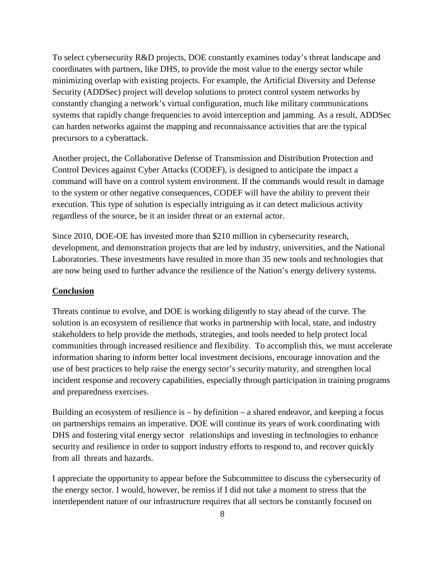To select cybersecurity R&D projects, DOE constantly examines today's threat landscape and coordinates with partners, like DHS, to provide the most value to the energy sector while minimizing overlap with existing projects. For example, the Artificial Diversity and Defense Security (ADDSec) project will develop solutions to protect control system networks by constantly changing a network's virtual configuration, much like military communications systems that rapidly change frequencies to avoid interception and jamming. As a result, ADDSec can harden networks against the mapping and reconnaissance activities that are the typical precursors to a cyberattack.

Another project, the Collaborative Defense of Transmission and Distribution Protection and Control Devices against Cyber Attacks (CODEF), is designed to anticipate the impact a command will have on a control system environment. If the commands would result in damage to the system or other negative consequences, CODEF will have the ability to prevent their execution. This type of solution is especially intriguing as it can detect malicious activity regardless of the source, be it an insider threat or an external actor.

Since 2010, DOE-OE has invested more than \$210 million in cybersecurity research, development, and demonstration projects that are led by industry, universities, and the National Laboratories. These investments have resulted in more than 35 new tools and technologies that are now being used to further advance the resilience of the Nation's energy delivery systems.

#### **Conclusion**

Threats continue to evolve, and DOE is working diligently to stay ahead of the curve. The solution is an ecosystem of resilience that works in partnership with local, state, and industry stakeholders to help provide the methods, strategies, and tools needed to help protect local communities through increased resilience and flexibility. To accomplish this, we must accelerate information sharing to inform better local investment decisions, encourage innovation and the use of best practices to help raise the energy sector's security maturity, and strengthen local incident response and recovery capabilities, especially through participation in training programs and preparedness exercises.

Building an ecosystem of resilience is  $-$  by definition  $-$  a shared endeavor, and keeping a focus on partnerships remains an imperative. DOE will continue its years of work coordinating with DHS and fostering vital energy sector relationships and investing in technologies to enhance security and resilience in order to support industry efforts to respond to, and recover quickly from all threats and hazards.

I appreciate the opportunity to appear before the Subcommittee to discuss the cybersecurity of the energy sector. I would, however, be remiss if I did not take a moment to stress that the interdependent nature of our infrastructure requires that all sectors be constantly focused on